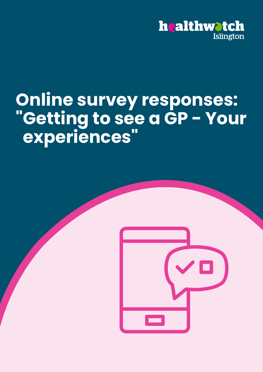

# **Online survey responses: "Getting to see a GP - Your experiences"**

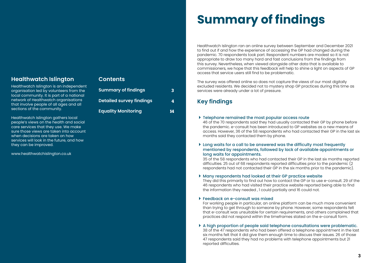# **Healthwatch Islington**

Healthwatch Islington is an independent organisation led by volunteers from the local community. It is part of a national network of Healthwatch organisations that involve people of all ages and all sections of the community.

Healthwatch Islington gathers local people's views on the health and social care services that they use. We make sure those views are taken into account when decisions are taken on how services will look in the future, and how they can be improved.

www.healthwatchislington.co.uk

## **Contents**

| <b>Summary of findings</b>      | 3  |
|---------------------------------|----|
| <b>Detailed survey findings</b> | 4  |
| <b>Equality Monitoring</b>      | 14 |

# **Summary of findings**

Healthwatch Islington ran an online survey between September and December 2021 to find out if and how the experience of accessing the GP had changed during the pandemic. 70 respondents took part. Respondent numbers are modest so it is not appropriate to draw too many hard and fast conclusions from the findings from this survey. Nevertheless, when viewed alongside other data that is available to commissioners, we hope that this feedback will help to shine a light on aspects of GP access that service users still find to be problematic.

- ▶ Telephone remained the most popular access route 46 of the 70 respondents said they had usually contacted their GP by phone before the pandemic. e-consult has been introduced to GP websites as a new means of months said they contacted them by phone.
- Long waits for a call to be answered was the difficulty most frequently mentioned by respondents, followed by lack of available appointments or long waits for appointments.

The survey was offered online so does not capture the views of our most digitally excluded residents. We decided not to mystery shop GP practices during this time as services were already under a lot of pressure.

# **Key findings**

access. However, 36 of the 58 respondents who had contacted their GP in the last six

35 of the 58 respondents who had contacted their GP in the last six months reported difficulties. 25 out of 68 respondents reported difficulties prior to the pandemic (2 respondents had not contacted their GP in the six months prior to the pandemic).

- Many respondents had looked at their GP practice website They did this primarily to find out how to contact the GP or to use e-consult. 29 of the 46 respondents who had visited their practice website reported being able to find the information they needed , 1 could partially and 16 could not.
- Feedback on e-consult was mixed For working people in particular, an online platform can be much more convenient than trying to get through to someone by phone. However, some respondents felt that e-consult was unsuitable for certain requirements, and others complained that practices did not respond within the timeframes stated on the e-consult form.
- A high proportion of people said telephone consultations were problematic. 38 of the 47 respondents who had been offered a telephone appointment in the last six months felt that it did give them enough time to discuss their issues. 26 of those 47 respondents said they had no problems with telephone appointments but 21 reported difficulties.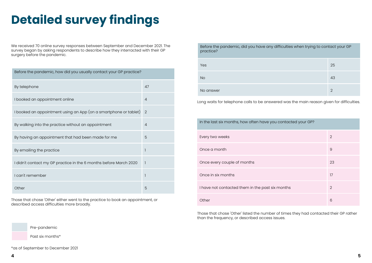# **Detailed survey findings**

We received 70 online survey responses between September and December 2021. The survey began by asking respondents to describe how they interracted with their GP surgery before the pandemic.

| Before the pandemic, how did you usually contact your GP practice? |                |  |
|--------------------------------------------------------------------|----------------|--|
| By telephone                                                       | 47             |  |
| I booked an appointment online                                     | $\overline{4}$ |  |
| I booked an appointment using an App (on a smartphone or tablet)   | $\overline{2}$ |  |
| By walking into the practice without an appointment                | $\overline{4}$ |  |
| By having an appointment that had been made for me                 | 5              |  |
| By emailing the practice                                           |                |  |
| I didn't contact my GP practice in the 6 months before March 2020  | $\mathbf{1}$   |  |
| I can't remember                                                   |                |  |
| Other                                                              | 5              |  |

Those that chose 'Other' either went to the practice to book an appointment, or described access difficulties more broadly.



Those that chose 'Other' listed the number of times they had contacted their GP rather than the frequency, or described access issues.

## Ficulties when trying to contact your GP

| 25             |
|----------------|
| 43             |
| $\overline{2}$ |

d was the main reason given for difficulties.

| ontacted your GP? |                |  |
|-------------------|----------------|--|
|                   | $\overline{2}$ |  |
|                   | $\overline{9}$ |  |
|                   | 23             |  |
|                   | 17             |  |
| <b>onths</b>      | $\overline{2}$ |  |
|                   | 6              |  |

| Before the pandemic, did you have any difficulties when trying to contac<br>practice? |                |  |
|---------------------------------------------------------------------------------------|----------------|--|
| Yes                                                                                   | 25             |  |
| <b>No</b>                                                                             | 43             |  |
| No answer                                                                             | $\overline{2}$ |  |
| Long waits for telephone calls to be answered was the main reason given               |                |  |
| In the last six months, how often have you contacted your GP?                         |                |  |
| Every two weeks                                                                       | $\overline{2}$ |  |
| Once a month                                                                          | 9              |  |
| Once every couple of months                                                           | 23             |  |
| Once in six months                                                                    | 17             |  |
| I have not contacted them in the past six months                                      | $\overline{2}$ |  |
| Other                                                                                 | 6              |  |

Pre-pandemic

Past six months\*

\*as of September to December 2021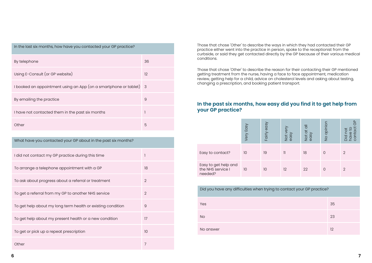| In the last six months, how have you contacted your GP practice? |                            |  |
|------------------------------------------------------------------|----------------------------|--|
| By telephone                                                     | 36                         |  |
| Using E-Consult (or GP website)                                  | 12                         |  |
| I booked an appointment using an App (on a smartphone or tablet) | $\overline{\phantom{a}}$ 3 |  |
| By emailing the practice                                         | 9                          |  |
| I have not contacted them in the past six months                 |                            |  |
| Other                                                            | 5                          |  |

Those that chose 'Other' to describe the ways in which they had contacted their GP practice either went into the practice in person, spoke to the receptionist from the curbside, or said they get contacted directly by the GP because of their various medical conditions.

| What have you contacted your GP about in the past six months? |                |  |  |
|---------------------------------------------------------------|----------------|--|--|
| I did not contact my GP practice during this time             | 1              |  |  |
| To arrange a telephone appointment with a GP                  | 18             |  |  |
| To ask about progress about a referral or treatment           | $\overline{2}$ |  |  |
| To get a referral from my GP to another NHS service           | $\overline{2}$ |  |  |
| To get help about my long term health or existing condition   | $\overline{9}$ |  |  |
| To get help about my present health or a new condition        | 17             |  |  |
| To get or pick up a repeat prescription                       | 10             |  |  |
| Other                                                         | 7              |  |  |

Those that chose 'Other' to describe the reason for their contacting their GP mentioned getting treatment from the nurse, having a face to face appointment, medication review, getting help for a child, advice on cholesterol levels and asking about testing, changing a prescription, and booking patient transport.

|                                                      | Very Easy | Fairly easy | Not very<br>easy | Not at all<br>easy | No opinior | (5)<br>nici<br>Cic |
|------------------------------------------------------|-----------|-------------|------------------|--------------------|------------|--------------------|
| Easy to contact?                                     | 10        | 19          | $\mathcal{I}$    | 18                 | 0          | 2                  |
| Easy to get help and<br>the NHS service I<br>needed? | 10        | 10          | 12               | 22                 | 0          | 2                  |

Did you have any difficulties when trying to Yes 35 and 2014 and 2014 and 2014 and 2014 and 2014 and 2014 and 2014 and 2014 and 2014 and 2014 and No 23 No answer

| contact your GP practice? |    |
|---------------------------|----|
|                           | 35 |
|                           | 23 |
|                           | 12 |

## **In the past six months, how easy did you find it to get help from your GP practice?**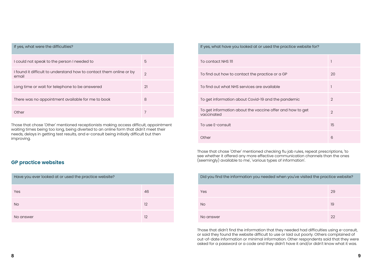| en you've visited the practice website? |    |
|-----------------------------------------|----|
|                                         | 29 |
|                                         | 19 |
|                                         | 22 |

| If yes, what were the difficulties?                                          |                |
|------------------------------------------------------------------------------|----------------|
| I could not speak to the person I needed to                                  | 5              |
| I found it difficult to understand how to contact them online or by<br>email | $\overline{2}$ |
| Long time or wait for telephone to be answered                               | 21             |
| There was no appointment available for me to book                            | 8              |
| Other                                                                        |                |

| Have you ever looked at or used the practice website? |    |
|-------------------------------------------------------|----|
| Yes                                                   | 46 |
| <b>No</b>                                             | 12 |
| No answer                                             | 12 |

Those that chose 'Other' mentioned receptionists making access difficult, appointment waiting times being too long, being diverted to an online form that didn't meet their needs, delays in getting test results, and e-consult being initially difficult but then improving.

| If yes, what have you looked at or used the practice website for?       |                |
|-------------------------------------------------------------------------|----------------|
| To contact NHS III                                                      |                |
| To find out how to contact the practice or a GP                         | 20             |
| To find out what NHS services are available                             |                |
| To get information about Covid-19 and the pandemic                      | 2              |
| To get information about the vaccine offer and how to get<br>vaccinated | $\overline{2}$ |
| To use E-consult                                                        | 15             |
| Other                                                                   | 6              |
|                                                                         |                |

Those that chose 'Other' mentioned checking flu jab rules, repeat prescriptions, 'to see whether it offered any more effective communication channels than the ones (seemingly) available to me', 'various types of information'.

| Did you find the information you needed when you've visited the practice website? |    |
|-----------------------------------------------------------------------------------|----|
| <b>Yes</b>                                                                        | 29 |
| <b>No</b>                                                                         | 19 |
| No answer                                                                         | 22 |

Those that didn't find the information that they needed had difficulties using e-consult, or said they found the website difficult to use or laid out poorly. Others complained of out-of-date information or minimal information. Other respondents said that they were asked for a password or a code and they didn't have it and/or didn't know what it was.

## **GP practice websites**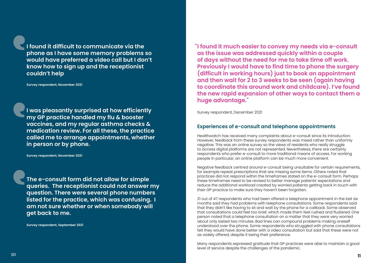**I found it difficult to communicate via the phone as I have some memory problems so would have preferred a video call but I don't know how to sign up and the receptionist couldn't help**

**Survey respondent, November 2021**

**The e-consult form did not allow for simple queries. The receptionist could not answer my question. There were several phone numbers listed for the practice, which was confusing. I am not sure whether or when somebody will get back to me.**

**Survey respondent, September 2021**

**I was pleasantly surprised at how efficiently my GP practice handled my flu & booster vaccines, and my regular asthma checks & medication review. For all these, the practice called me to arrange appointments, whether in person or by phone.** 

**Survey respondent, November 2021**

**I found it much easier to convey my needs via e-consult " as the issue was addressed quickly within a couple of days without the need for me to take time off work. Previously I would have to find time to phone the surgery (difficult in working hours) just to book an appointment and then wait for 2 to 3 weeks to be seen (again having to coordinate this around work and childcare). I've found the new rapid expansion of other ways to contact them a huge advantage."** 

Survey respondent, December 2021

## **Experiences of e-consult and telephone appointments**

Healthwatch has received many complaints about e-consult since its introduction. However, feedback from these survey respondents was mixed rather than uniformly negative. This was an online survey so the views of residents who really struggle to access digital platforms are not represented. Nevertheless, there are certainly respondents who prefer e-consult to more traditional means of access. For working people in particular, an online platform can be much more convenient.

Negative feedback centred around e-consult being unsuitable for certain requirements, for example repeat prescriptions that are missing some items. Others noted that practices did not respond within the timeframes stated on the e-consult form. Perhaps these timeframes need to be revised to better manage patients' expectations and reduce the additional workload created by worried patients getting back in touch with their GP practice to make sure they haven't been forgotten.

21 out of 47 respondents who had been offered a telephone appointment in the last six months said they had problems with telephone consultations. Some respondents said that they didn't like having to sit and wait by the phone for a callback. Some observed that consultations could feel too brief, which made them feel rushed and flustered. One person noted that a telephone consultation on a matter that they were very worried about only lasted two minutes. Bad lines can compound problems making oneself understood over the phone. Some respondents who struggled with phone consultations felt they would have done better with a video consultation but said that these were not as widely offered, despite it being their preference.

Many respondents expressed gratitude that GP practices were able to maintain a good level of service despite the challenges of the pandemic.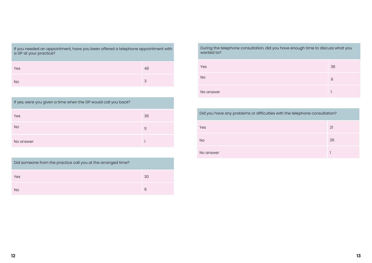| If yes, were you given a time when the GP would call you back? |              |
|----------------------------------------------------------------|--------------|
| Yes                                                            | 36           |
| <b>No</b>                                                      | $\mathbf{1}$ |
| No answer                                                      |              |

| If you needed an appointment, have you been offered a telephone appointment with |
|----------------------------------------------------------------------------------|
| a GP at your practice?                                                           |
|                                                                                  |
|                                                                                  |

| Yes       | 48 |
|-----------|----|
| <b>No</b> | 3  |

| Did someone from the practice call you at the arranged time? |    |
|--------------------------------------------------------------|----|
| Yes                                                          | 30 |
| <b>No</b>                                                    | 6  |

| During the telephone consultation, did you |  |
|--------------------------------------------|--|
| wanted to?                                 |  |

| Yes                                                                        | 38 |
|----------------------------------------------------------------------------|----|
| <b>No</b>                                                                  | 9  |
| No answer                                                                  |    |
|                                                                            |    |
| Did you have any problems or difficulties with the telephone consultation? |    |
| Yes                                                                        | 21 |
| <b>No</b>                                                                  | 26 |

No answer

## have enough time to discuss what you

| 38 |
|----|
| 9  |
|    |

| h the telephone consultation? |    |
|-------------------------------|----|
|                               | 21 |
|                               | 26 |
|                               |    |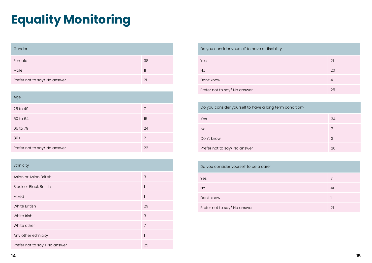# **Equality Monitoring**

| Gender                       |               |
|------------------------------|---------------|
| Female                       | 38            |
| Male                         | $\mathcal{V}$ |
| Prefer not to say/ No answer | 21            |

| Age                          |    |
|------------------------------|----|
| 25 to 49                     | 7  |
| 50 to 64                     | 15 |
| 65 to 79                     | 24 |
| $80+$                        | 2  |
| Prefer not to say/ No answer | 22 |

| Ethnicity                     |                |
|-------------------------------|----------------|
| Asian or Asian British        | 3              |
| <b>Black or Black British</b> | 1              |
| Mixed                         | 1              |
| <b>White British</b>          | 29             |
| White Irish                   | 3              |
| White other                   | $\overline{7}$ |
| Any other ethnicity           | 1              |
| Prefer not to say / No answer | 25             |

| Do you consider yourself to be a carer |                |
|----------------------------------------|----------------|
| Yes                                    | 7              |
| <b>No</b>                              | 4 <sup>1</sup> |
| Don't know                             |                |
| Prefer not to say/ No answer           | 21             |

| 7  |
|----|
| 41 |
| 1  |
| 21 |

| Do you consider yourself to have a disability           |                |  |
|---------------------------------------------------------|----------------|--|
| Yes                                                     | 21             |  |
| <b>No</b>                                               | 20             |  |
| Don't know                                              | $\overline{4}$ |  |
| Prefer not to say/ No answer                            | 25             |  |
|                                                         |                |  |
| Do you consider yourself to have a long term condition? |                |  |
| Yes                                                     | 34             |  |
| <b>No</b>                                               | $\overline{7}$ |  |
| Don't know                                              | 3              |  |
| Prefer not to say/ No answer                            | 26             |  |